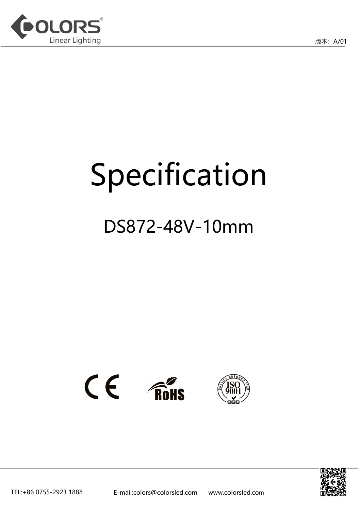

# Specification

## DS872-48V-10mm



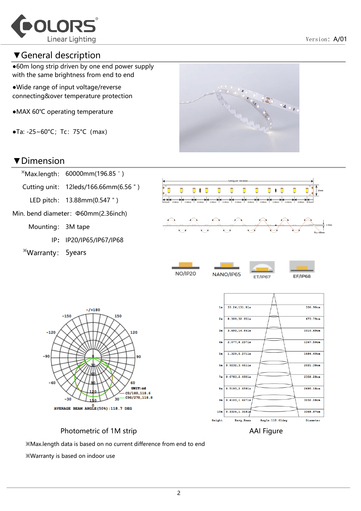

## ▼General description

●60m long strip driven by one end power supply with the same brightness from end to end

●Wide range of input voltage/reverse connecting&over temperature protection

- ●MAX 60℃ operating temperature
- $\bullet$ Ta: -25~60°C; Tc: 75°C (max)

### ▼Dimension



Min. bend diameter:Φ60mm(2.36inch)

 $-150$ 

Mounting: 3M tape

IP: IP20/IP65/IP67/IP68

 $-7 + 180$ 

150

120

90

60 UNIT:cd

C0/180,118.6

※Warranty: 5years

 $-120$ 

-90







Photometric of 1M strip AAI Figure

※Max.length data is based on no current difference from end to end

※Warranty is based on indoor use

-30

**Height** 

Eavg, Emax

Angle:118.61deg

Diameter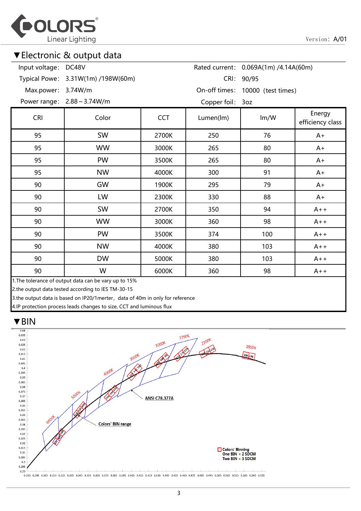

## ▼Electronic & output data

| Input voltage: DC48V | Rated current: 0.069A(1m) /4.14A(60m)                 |       |           |      |                            |
|----------------------|-------------------------------------------------------|-------|-----------|------|----------------------------|
|                      | Typical Powe: 3.31W(1m) /198W(60m)<br>CRI: 90/95      |       |           |      |                            |
| Max.power: 3.74W/m   | On-off times: 10000 (test times)                      |       |           |      |                            |
|                      | Power range: 2.88 ~ 3.74W/m<br>Copper foil: 3oz       |       |           |      |                            |
| <b>CRI</b>           | Color<br><b>CCT</b>                                   |       | Lumen(lm) | Im/W | Energy<br>efficiency class |
| 95                   | <b>SW</b>                                             | 2700K | 250       | 76   | $A+$                       |
| 95                   | <b>WW</b>                                             | 3000K | 265       | 80   | $A+$                       |
| 95                   | <b>PW</b>                                             | 3500K | 265       | 80   | $A+$                       |
| 95                   | <b>NW</b><br>4000K                                    |       | 300       | 91   | $A+$                       |
| 90                   | GW<br>1900K                                           |       | 295       | 79   | $A+$                       |
| 90                   | LW                                                    | 2300K | 330       | 88   | $A+$                       |
| 90                   | SW                                                    | 2700K | 350       | 94   | $A++$                      |
| 90                   | <b>WW</b>                                             | 3000K | 360       | 98   | $A++$                      |
| 90                   | PW                                                    | 3500K | 374       | 100  | $A++$                      |
| 90                   | <b>NW</b>                                             | 4000K | 380       | 103  | $A++$                      |
| 90                   | <b>DW</b>                                             | 5000K | 380       | 103  | $A++$                      |
| 90                   | W                                                     | 6000K | 360       | 98   | $A++$                      |
|                      | 1. The tolerance of output data can be vary up to 15% |       |           |      |                            |

2.the output data tested according to IES TM-30-15

3.the output data is based on IP20/1merter, data of 40m in only for reference

4.IP protection process leads changes to size, CCT and luminous flux

#### ▼BIN

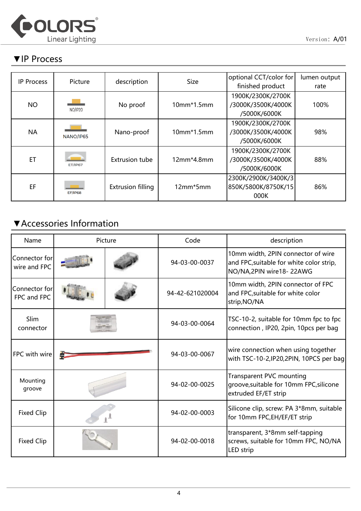

## ▼IP Process

| <b>IP Process</b> | Picture        | description              | <b>Size</b>  | optional CCT/color for<br>finished product              | lumen output<br>rate |
|-------------------|----------------|--------------------------|--------------|---------------------------------------------------------|----------------------|
| <b>NO</b>         | NO/IP20        | No proof                 | $10mm*1.5mm$ | 1900K/2300K/2700K<br>/3000K/3500K/4000K<br>/5000K/6000K | 100%                 |
| <b>NA</b>         | NANO/IP65      | Nano-proof               | $10mm*1.5mm$ | 1900K/2300K/2700K<br>/3000K/3500K/4000K<br>/5000K/6000K | 98%                  |
| ET                | ET/IP67        | <b>Extrusion tube</b>    | 12mm*4.8mm   | 1900K/2300K/2700K<br>/3000K/3500K/4000K<br>/5000K/6000K | 88%                  |
| EF                | <b>EF/IP68</b> | <b>Extrusion filling</b> | 12mm*5mm     | 2300K/2900K/3400K/3<br>850K/5800K/8750K/15<br>000K      | 86%                  |

## ▼Accessories Information

| Name                          |  | Picture | Code            | description                                                                                                 |
|-------------------------------|--|---------|-----------------|-------------------------------------------------------------------------------------------------------------|
| Connector for<br>wire and FPC |  |         | 94-03-00-0037   | 10mm width, 2PIN connector of wire<br>and FPC, suitable for white color strip,<br>NO/NA, 2PIN wire 18-22AWG |
| Connector for<br>FPC and FPC  |  |         | 94-42-621020004 | 10mm width, 2PIN connector of FPC<br>and FPC, suitable for white color<br>strip, NO/NA                      |
| Slim<br>connector             |  |         | 94-03-00-0064   | TSC-10-2, suitable for 10mm fpc to fpc<br>connection, IP20, 2pin, 10pcs per bag                             |
| FPC with wire                 |  |         | 94-03-00-0067   | wire connection when using together<br>with TSC-10-2, IP20, 2PIN, 10PCS per bag                             |
| Mounting<br>groove            |  |         | 94-02-00-0025   | Transparent PVC mounting<br>groove, suitable for 10mm FPC, silicone<br>extruded EF/ET strip                 |
| <b>Fixed Clip</b>             |  |         | 94-02-00-0003   | Silicone clip, screw: PA 3*8mm, suitable<br>for 10mm FPC, EH/EF/ET strip                                    |
| <b>Fixed Clip</b>             |  |         | 94-02-00-0018   | transparent, 3*8mm self-tapping<br>screws, suitable for 10mm FPC, NO/NA<br>LED strip                        |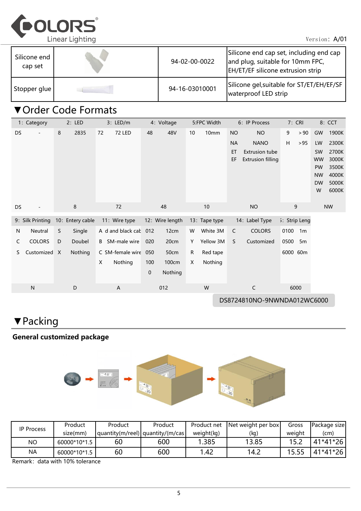

Version: A/01

| Silicone end<br>cap set | 94-02-00-0022  | Silicone end cap set, including end cap<br>and plug, suitable for 10mm FPC,<br>EH/ET/EF silicone extrusion strip |
|-------------------------|----------------|------------------------------------------------------------------------------------------------------------------|
| Stopper glue            | 94-16-03010001 | Silicone gel, suitable for ST/ET/EH/EF/SF<br>waterproof LED strip                                                |

## ▼Order Code Formats

|    | 1: Category      | 2: LED           | 3: LED/m              | 4: Voltage      | 5:FPC Width    | 6: IP Process                  | 7: CRI                 | 8: CCT                                   |
|----|------------------|------------------|-----------------------|-----------------|----------------|--------------------------------|------------------------|------------------------------------------|
| DS |                  | 8<br>2835        | 72<br><b>72 LED</b>   | 48<br>48V       | 10mm<br>10     | <b>NO</b><br><b>NO</b>         | 9<br>> 90              | GW<br>1900K                              |
|    |                  |                  |                       |                 |                | <b>NANO</b><br><b>NA</b>       | H<br>>95               | 2300K<br>LW                              |
|    |                  |                  |                       |                 |                | <b>Extrusion tube</b><br>ET    |                        | 2700K<br>SW                              |
|    |                  |                  |                       |                 |                | <b>Extrusion filling</b><br>EF |                        | 3000K<br><b>WW</b><br>3500K<br><b>PW</b> |
|    |                  |                  |                       |                 |                |                                |                        | 4000K<br><b>NW</b>                       |
|    |                  |                  |                       |                 |                |                                |                        | <b>DW</b><br>5000K                       |
|    |                  |                  |                       |                 |                |                                |                        | 6000K<br>W                               |
| DS |                  | 8                | 72                    | 48              | 10             | <b>NO</b>                      | 9                      | <b>NW</b>                                |
|    |                  |                  |                       |                 |                |                                |                        |                                          |
|    | 9: Silk Printing | 10: Entery cable | 11: Wire type         | 12: Wire length | 13: Tape type  | 14: Label Type                 | 5: Strip Leng          |                                          |
| N  | Neutral          | Single<br>S      | A d and black cak     | 12cm<br>012     | White 3M<br>W  | <b>COLORS</b><br>$\mathsf{C}$  | 0100<br>1 <sub>m</sub> |                                          |
| C  | <b>COLORS</b>    | D<br>Doubel      | <b>B</b> SM-male wire | 020<br>20cm     | Yellow 3M<br>Υ | <sub>S</sub><br>Customized     | 0500<br>5 <sub>m</sub> |                                          |
| S. | Customized X     | Nothing          | C SM-female wire 050  | 50cm            | Red tape<br>R  |                                | 6000 60m               |                                          |
|    |                  |                  | Nothing<br>X          | 100cm<br>100    | Nothing<br>X   |                                |                        |                                          |
|    |                  |                  |                       | Nothing<br>0    |                |                                |                        |                                          |
|    | ${\sf N}$        | D                | A                     | 012             | W              | C                              | 6000                   |                                          |
|    |                  |                  |                       |                 |                |                                |                        |                                          |
|    |                  |                  |                       |                 |                | DS8724810NO-9NWNDA012WC6000    |                        |                                          |

▼Packing

## General customized package



| <b>IP Process</b> | Product      | Product | Product                          | Product net      | Net weight per box | Gross  | Package sizel |
|-------------------|--------------|---------|----------------------------------|------------------|--------------------|--------|---------------|
|                   | size(mm)     |         | quantity(m/reel) quantity/(m/cas | weight(kg)       | (kg)               | weiaht | (cm)          |
| <b>NO</b>         | 60000*10*1.5 | 60      | 600                              | .385             | 13.85              |        | 41*41*26      |
| <b>NA</b>         | 60000*10*1.5 | 60      | 600                              | $\overline{.42}$ | 14.2               | 15.55  | 41*41*26      |

Remark: data with 10% tolerance